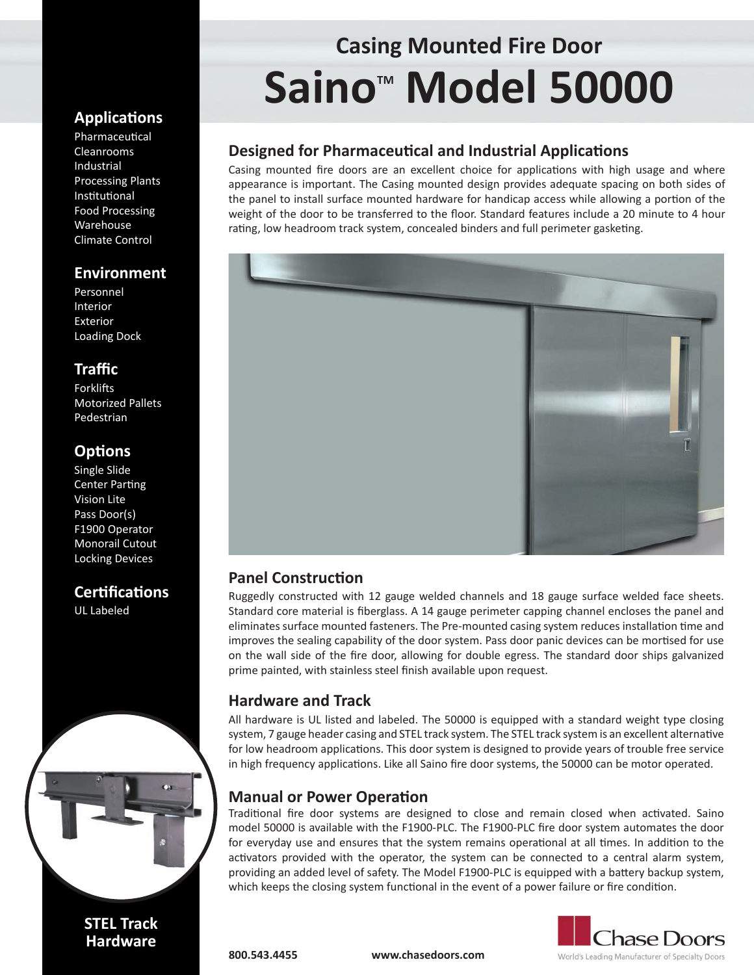# **Casing Mounted Fire Door** Saino<sup>™</sup> Model 50000

#### **Designed for Pharmaceutical and Industrial Applications**

Casing mounted fire doors are an excellent choice for applications with high usage and where appearance is important. The Casing mounted design provides adequate spacing on both sides of the panel to install surface mounted hardware for handicap access while allowing a portion of the weight of the door to be transferred to the floor. Standard features include a 20 minute to 4 hour rating, low headroom track system, concealed binders and full perimeter gasketing.



#### **Panel Construction**

Ruggedly constructed with 12 gauge welded channels and 18 gauge surface welded face sheets. Standard core material is fiberglass. A 14 gauge perimeter capping channel encloses the panel and eliminates surface mounted fasteners. The Pre-mounted casing system reduces installation time and improves the sealing capability of the door system. Pass door panic devices can be mortised for use on the wall side of the fire door, allowing for double egress. The standard door ships galvanized prime painted, with stainless steel finish available upon request.

#### **Hardware and Track**

All hardware is UL listed and labeled. The 50000 is equipped with a standard weight type closing system, 7 gauge header casing and STEL track system. The STEL track system is an excellent alternative for low headroom applications. This door system is designed to provide years of trouble free service in high frequency applications. Like all Saino fire door systems, the 50000 can be motor operated.

#### **Manual or Power Operation**

Traditional fire door systems are designed to close and remain closed when activated. Saino model 50000 is available with the F1900-PLC. The F1900-PLC fire door system automates the door for everyday use and ensures that the system remains operational at all times. In addition to the activators provided with the operator, the system can be connected to a central alarm system, providing an added level of safety. The Model F1900-PLC is equipped with a battery backup system, which keeps the closing system functional in the event of a power failure or fire condition.



#### **Applications**

Pharmaceutical Cleanrooms Industrial Processing Plants Institutional Food Processing Warehouse Climate Control

#### **Environment**

Personnel Interior Exterior Loading Dock

#### **Traffic**

Forklifts Motorized Pallets Pedestrian

#### **Options**

Single Slide Center Parting Vision Lite Pass Door(s) F1900 Operator Monorail Cutout Locking Devices

### **Certifications**

UL Labeled



**STEL Track Hardware**